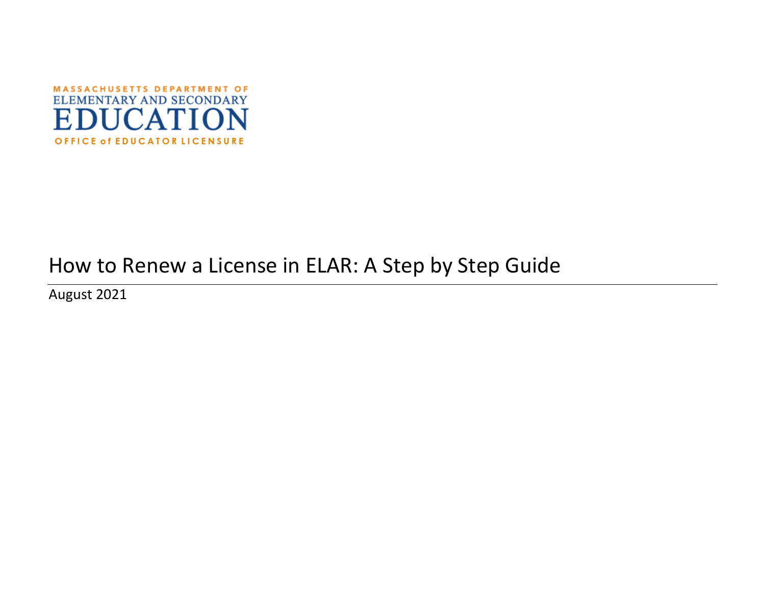

# How to Renew a License in ELAR: A Step by Step Guide

August 2021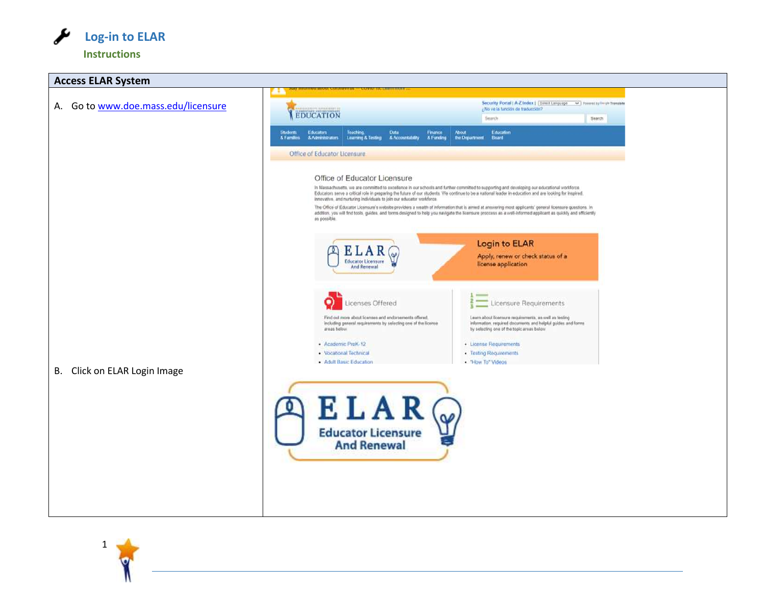

1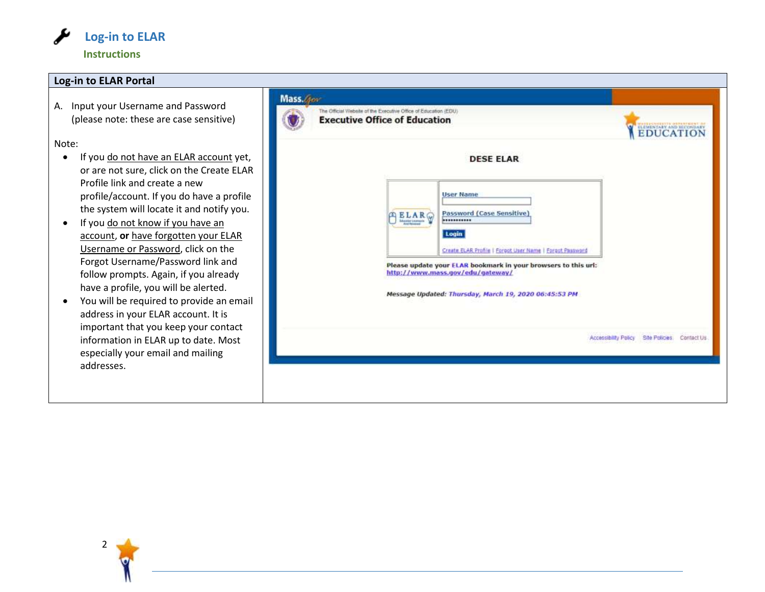

#### **Log-in to ELAR Portal**

A. Input your Username and Password (please note: these are case sensitive)

Note:

- If you do not have an ELAR account yet or are not sure, click on the Create EL Profile link and create a new profile/account. If you do have a profile the system will locate it and notify yo
- If you do not know if you have an account, **or** have forgotten your ELAR Username or Password, click on the Forgot Username/Password link and follow prompts. Again, if you already have a profile, you will be alerted.
- You will be required to provide an email address in your ELAR account. It is important that you keep your contact information in ELAR up to date. Most especially your email and mailing addresses.

| <b>Executive Office of Education</b><br>EDUCATION                                                                                                           |
|-------------------------------------------------------------------------------------------------------------------------------------------------------------|
| <b>DESE ELAR</b>                                                                                                                                            |
| <b>User Name</b><br><b>Password (Case Sensitive)</b><br>BLAR<br><br>Login<br>Create ELAR Profile   Foroct User Name   Foroct Password                       |
| Please update your ELAR bookmark in your browsers to this url:<br>http://www.mass.gov/edu/gateway/<br>Message Updated: Thursday, March 19, 2020 06:45:53 PM |
| Accessibility Policy Site Policies: Contact Us.                                                                                                             |

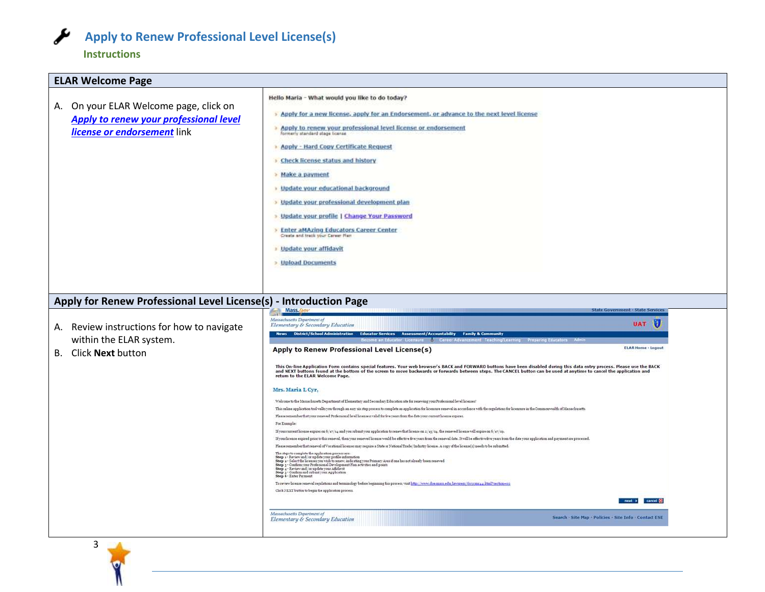

### **Instructions**

3

| <b>ELAR Welcome Page</b>                                                                                                                                           |                                                                                                                                                                                                                                                                                                                                                                                                                                                                                                                                                                                                                                                                                                                                                                                                                                                                                                                                                                                                                                                                                                                                                                                                                                                                                                                                                                                                    |
|--------------------------------------------------------------------------------------------------------------------------------------------------------------------|----------------------------------------------------------------------------------------------------------------------------------------------------------------------------------------------------------------------------------------------------------------------------------------------------------------------------------------------------------------------------------------------------------------------------------------------------------------------------------------------------------------------------------------------------------------------------------------------------------------------------------------------------------------------------------------------------------------------------------------------------------------------------------------------------------------------------------------------------------------------------------------------------------------------------------------------------------------------------------------------------------------------------------------------------------------------------------------------------------------------------------------------------------------------------------------------------------------------------------------------------------------------------------------------------------------------------------------------------------------------------------------------------|
| A. On your ELAR Welcome page, click on<br>Apply to renew your professional level<br>license or endorsement link                                                    | Hello Maria - What would you like to do today?<br>> Apply for a new license, apply for an Endorsement, or advance to the next level license<br>Apply to renew your professional level license or endorsement<br>formerly standard stage license<br><b>Apply - Hard Copy Certificate Request</b><br>Check license status and history<br>> Make a payment<br>· Update your educational background<br>> Update your professional development plan<br>> Update your profile   Change Your Password<br>> Enter aMAzing Educators Career Center<br>Create and track your Career Plan<br><b>Update your affidavit</b><br>> Upload Documents                                                                                                                                                                                                                                                                                                                                                                                                                                                                                                                                                                                                                                                                                                                                                               |
| Apply for Renew Professional Level License(s) - Introduction Page<br>A. Review instructions for how to navigate<br>within the ELAR system.<br>B. Click Next button | Mass.<br><b>State Gover</b><br><b>it · State Service</b><br>Massachusetts Department of<br>v<br><b>UAT</b><br>Elementary & Secondary Education<br>News District/School Administration Educator Services Assessment/Accountability Family & Comm<br>come an Educator Licens<br><b>Career Advance</b><br><b>ELAR Home - Logout</b><br>Apply to Renew Professional Level License(s)<br>This On-line Application Form contains special features. Your web browser's BACK and FORWARD buttons have been disabled during this data entry process. Please use the BACK<br>and NEXT buttons found at the bottom of the screen to move backwards or forwards between steps. The CANCEL button can be used at anytime to cancel the application and<br>return to the ELAR Welcome Page.<br>Mrs. Maria L Cyr.<br>Welcome to the Massachusetts Department of Elementary and Secondary Education site for repewing your Professional level licenses!<br>This online application tool vallay on through an easy six step process to complete an application for licensure renewal in accordance with the regulations for licensure in the Commonwealth of Massachusetts.                                                                                                                                                                                                                                         |
|                                                                                                                                                                    | Please remember that your reneved Professional level license is valid for five years from the date your current license expires.<br>For Example:<br>If your current license expires on 6/x7/04 and you submit your application to renew that license on x/15/04, the renewed license will expire on 6/s7/09.<br>If your license expired prior to this renewal, then your renewed license would be effective five years from the renewal date. It will be effective five years from the date your application and payment are processed.<br>Flease remember that renewal of Vocational licenses may require a State or National Trade/Industry license. A copy of the license(s) needs to be submitted.<br>. The steps to complete the application process are:<br>Step 1 - Zeriev and/or update your profile information<br>Step 3 - Zedert the licenses you with to renew, indicating your Primary Area of one has not already been renewed<br>S<br>Step 3 - Confirm and mbmityour Application<br>Step 6 - Enter Payment<br>To review brease renewal regulations and terminology before beginning this process, visit http://www.doe.mass.edu/lawrents/603cmr44.html?section=02<br>Click NEXT button to begin the application process.<br>cancel <b>30</b><br>mext ><br>Massachusetts Department of<br>Search - Site Map - Policies - Site Info - Contact ESE<br>Elementary & Secondary Education |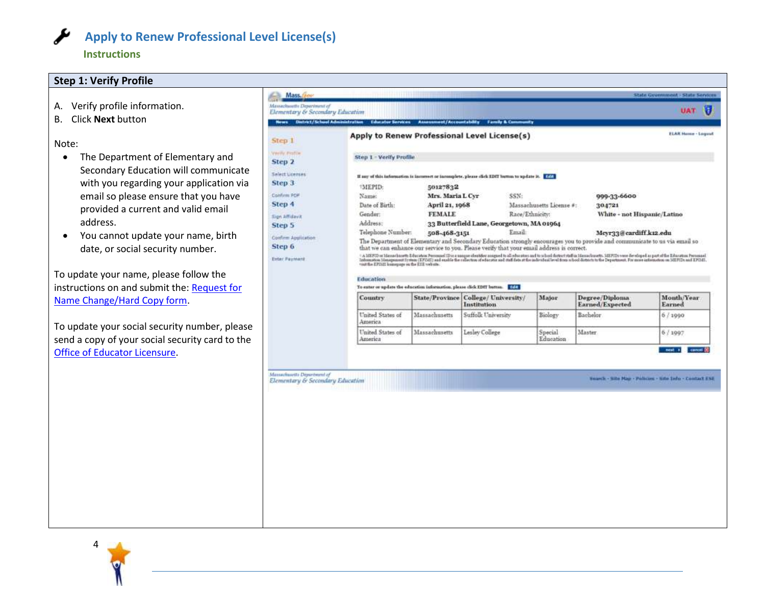

**Instructions**

#### **Step 1: Verify Profile**

- A. Verify profile information.
- B. Click **Next** button

#### Note:

- The Department of Elementary and Secondary Education will communicate with you regarding your application via email so please ensure that you have provided a current and valid email address.
- You cannot update your name, birth date, or social security number.

To update your name, please follow the instructions on and submit the: [Request for](http://www.doe.mass.edu/licensure/academic-prek12/request-name-change-form.docx)  [Name Change/Hard Copy form.](http://www.doe.mass.edu/licensure/academic-prek12/request-name-change-form.docx)

To update your social security number, please send a copy of your social security card to the [Office of Educator Licensure.](http://www.doe.mass.edu/licensure/)

| Elementary & Secondary Education                                | News Datrict/School Administration Educator Services Assessment/Accountability Family & Community  |                                                                                                                                                                                                                                  |                                           |                 |                          |                 |                             | UAT                                                      | н |
|-----------------------------------------------------------------|----------------------------------------------------------------------------------------------------|----------------------------------------------------------------------------------------------------------------------------------------------------------------------------------------------------------------------------------|-------------------------------------------|-----------------|--------------------------|-----------------|-----------------------------|----------------------------------------------------------|---|
| Step 1                                                          | Apply to Renew Professional Level License(s)                                                       |                                                                                                                                                                                                                                  |                                           |                 |                          |                 |                             | <b>ELAR Home - Logout</b>                                |   |
| Vivilly Fittin                                                  | Step 1 - Verify Profile                                                                            |                                                                                                                                                                                                                                  |                                           |                 |                          |                 |                             |                                                          |   |
| Step 2                                                          |                                                                                                    |                                                                                                                                                                                                                                  |                                           |                 |                          |                 |                             |                                                          |   |
| Select Licenses                                                 | If any of this information is incorrect or incomplete, please click EDIT button to update it. FORS |                                                                                                                                                                                                                                  |                                           |                 |                          |                 |                             |                                                          |   |
| Step 3                                                          | *MEPID:                                                                                            | 50127832                                                                                                                                                                                                                         |                                           |                 |                          |                 |                             |                                                          |   |
| Confirm POP                                                     | Name:                                                                                              | Mrs. Maria L Cyr                                                                                                                                                                                                                 |                                           | SSN:            |                          | 999-33-6600     |                             |                                                          |   |
| Step 4                                                          | Date of Birth:                                                                                     |                                                                                                                                                                                                                                  | April 21, 1968                            |                 | Massachusetts License #: |                 | 304721                      |                                                          |   |
| Sign Affidavit                                                  | Gender:                                                                                            | <b>FEMALE</b>                                                                                                                                                                                                                    |                                           | Race/Ethnicity: |                          |                 | White - not Hispanic/Latino |                                                          |   |
| Step 5                                                          | Address:                                                                                           |                                                                                                                                                                                                                                  | 33 Butterfield Lane, Georgetown, MA 01964 |                 |                          |                 |                             |                                                          |   |
|                                                                 | Telephone Number:                                                                                  | 508-468-3151                                                                                                                                                                                                                     |                                           | Email:          |                          |                 | Meyr33@cardiff.k12.edu      |                                                          |   |
| Confirm Application                                             |                                                                                                    | The Department of Elementary and Secondary Education strongly encourages you to provide and communicate to us via email so                                                                                                       |                                           |                 |                          |                 |                             |                                                          |   |
| Step 6                                                          |                                                                                                    | that we can enhance our service to you. Please verify that your email address is correct.                                                                                                                                        |                                           |                 |                          |                 |                             |                                                          |   |
| <b>Enter Payment</b>                                            |                                                                                                    | " A MINTO at Messelassets Educates Personal ID is a unique identitive assigned to all admodes in the distribution of the Manchester. MENTS were developed as part of the Education Personal<br>Information Honography in the EIE |                                           |                 |                          |                 |                             |                                                          |   |
|                                                                 |                                                                                                    |                                                                                                                                                                                                                                  |                                           |                 |                          |                 |                             |                                                          |   |
|                                                                 | Education<br>To exter or update the education information, please click EDIT button. EDIT          |                                                                                                                                                                                                                                  |                                           |                 |                          |                 |                             |                                                          |   |
|                                                                 | <b>Country</b>                                                                                     | State/Province   College/ University/                                                                                                                                                                                            |                                           |                 | Major                    | Degree/Diploma  |                             | Month/Year                                               |   |
|                                                                 |                                                                                                    |                                                                                                                                                                                                                                  | Institution                               |                 |                          | Earned/Expected |                             | Earned                                                   |   |
|                                                                 | United States of<br>America                                                                        | Massachusetts                                                                                                                                                                                                                    | Suffolk University                        |                 | Biology                  | Bachelor.       |                             | 6/1990                                                   |   |
|                                                                 | United States of<br>America                                                                        | Massachusetts                                                                                                                                                                                                                    | Lesley College                            |                 | Special<br>Education     | Master          |                             | 6/1997                                                   |   |
| Massachuartts Départment of<br>Elementary & Secondary Education |                                                                                                    |                                                                                                                                                                                                                                  |                                           |                 |                          |                 |                             | Search - Sille Mag - Policies - Sille Info - Contact ESE |   |

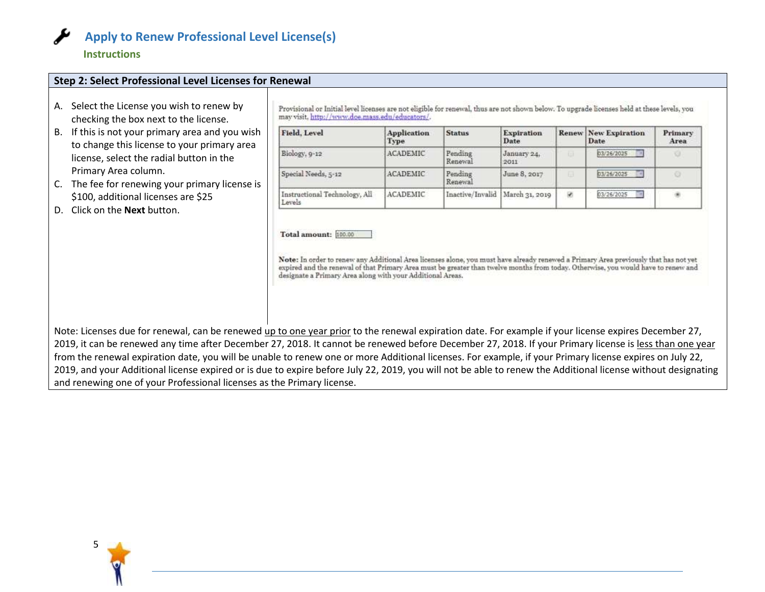

#### **Instructions**

#### **Step 2: Select Professional Level Licenses for Renewal**

- A. Select the License you wish to renew by checking the box next to the license.
- B. If this is not your primary area and you wish to change this license to your primary area license, select the radial button in the Primary Area column.
- C. The fee for renewing your primary license is \$100, additional licenses are \$25
- D. Click on the **Next** button.

Provisional or Initial level licenses are not eligible for renewal, thus are not shown below. To upgrade licenses held at these levels, you may visit. http://www.doe.mass.edu/educators/.

| Field, Level                            | Application<br>Type | <b>Status</b>                     | <b>Expiration</b><br>Date |    | <b>Renew New Expiration</b><br>Date            | Primary<br>Area     |
|-----------------------------------------|---------------------|-----------------------------------|---------------------------|----|------------------------------------------------|---------------------|
| Biology, 9-12                           | ACADEMIC            | Pending<br>Renewal                | January 24,<br>2011       |    | 03/26/2025<br>the East State of Conference and |                     |
| Special Needs, 5-12                     | <b>ACADEMIC</b>     | Pending<br>Renewal                | June 8, 2017              |    | 03/26/2025                                     |                     |
| Instructional Technology, All<br>Levels | <b>ACADEMIC</b>     | Inactive/Invalid   March 31, 2019 |                           | Ŵ. | 03/26/2025                                     | $\overline{\sigma}$ |

Total amount: 100.00

Note: In order to renew any Additional Area licenses alone, you must have already renewed a Primary Area previously that has not yet expired and the renewal of that Primary Area must be greater than twelve months from today. Otherwise, you would have to renew and designate a Primary Area along with your Additional Areas.

Note: Licenses due for renewal, can be renewed up to one year prior to the renewal expiration date. For example if your license expires December 27, 2019, it can be renewed any time after December 27, 2018. It cannot be renewed before December 27, 2018. If your Primary license is less than one year from the renewal expiration date, you will be unable to renew one or more Additional licenses. For example, if your Primary license expires on July 22, 2019, and your Additional license expired or is due to expire before July 22, 2019, you will not be able to renew the Additional license without designating and renewing one of your Professional licenses as the Primary license.

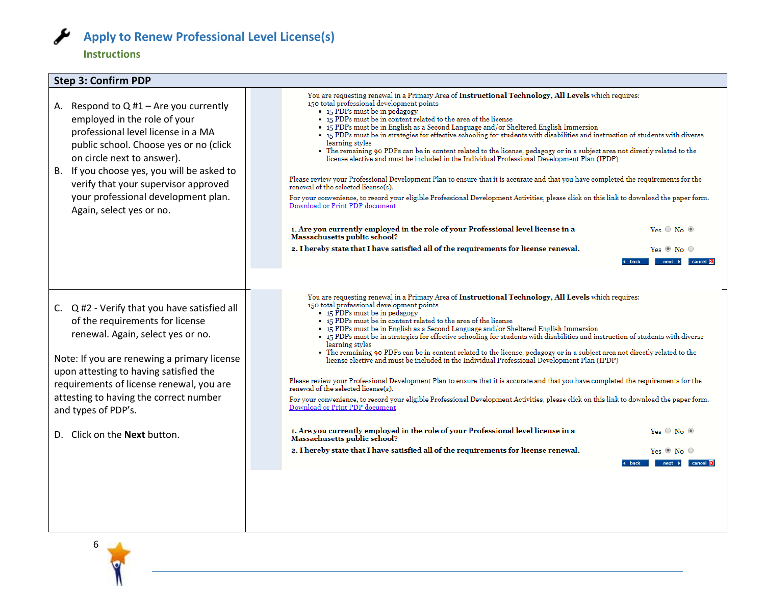

#### **Instructions**

#### **Step 3: Confirm PDP**

- A. Respond to  $Q$  #1 Are you currently employed in the role of your professional level license in a MA public school. Choose yes or no (click on circle next to answer).
- B. If you choose yes, you will be asked to verify that your supervisor approved your professional development plan. Again, select yes or no.

C. Q #2 - Verify that you have satisfied all of the requirements for license renewal. Again, select yes or no.

Note: If you are renewing a primary license upon attesting to having satisfied the requirements of license renewal, you are attesting to having the correct number and types of PDP's.

D. Click on the **Next** button.

You are requesting renewal in a Primary Area of Instructional Technology, All Levels which requires: 150 total professional development points

- 15 PDPs must be in pedagogy
- 15 PDPs must be in content related to the area of the license
	-
- 15 PDPs must be in English as a Second Language and/or Sheltered English Immersion<br>• 15 PDPs must be in English as a Second Language and/or Sheltered English Immersion<br>• 15 PDPs must be in strategies for effective school learning styles
- The remaining 90 PDPs can be in content related to the license, pedagogy or in a subject area not directly related to the license elective and must be included in the Individual Professional Development Plan (IPDP)

Please review your Professional Development Plan to ensure that it is accurate and that you have completed the requirements for the renewal of the selected license(s).

For your convenience, to record your eligible Professional Development Activities, please click on this link to download the paper form. Download or Print PDP document

| . Are you currently emploved in the role of your Professional level license in a<br>Aassachusetts public school? | $Yes \nO No \nO$ |  |
|------------------------------------------------------------------------------------------------------------------|------------------|--|
| I hereby state that I have satisfied all of the requirements for license renewal.                                | $Yes \circ No$   |  |

You are requesting renewal in a Primary Area of Instructional Technology, All Levels which requires: 150 total professional development points

 $\bullet$  15 PDPs must be in pedagogy

 $\mathbf{I}$ J.

- 15 PDPs must be in content related to the area of the license
- . 15 PDPs must be in English as a Second Language and/or Sheltered English Immersion
- 15 PDPs must be in strategies for effective schooling for students with disabilities and instruction of students with diverse learning styles
- The remaining 90 PDPs can be in content related to the license, pedagogy or in a subject area not directly related to the license elective and must be included in the Individual Professional Development Plan (IPDP)

Please review your Professional Development Plan to ensure that it is accurate and that you have completed the requirements for the renewal of the selected license(s).

For your convenience, to record your eligible Professional Development Activities, please click on this link to download the paper form. Download or Print PDP document

1. Are you currently employed in the role of your Professional level license in a Yes O No O **Massachusetts public school?** 2. I hereby state that I have satisfied all of the requirements for license renewal. Yes  $\circledcirc$  No  $\circledcirc$ 

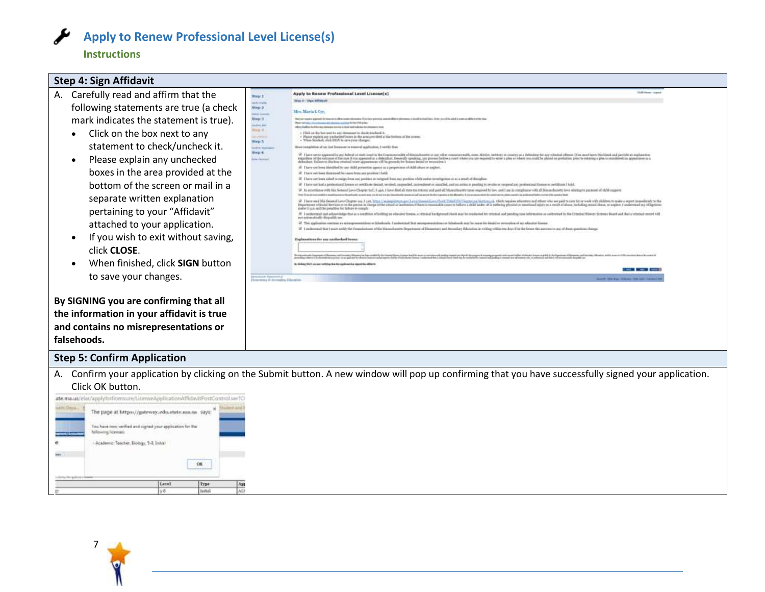

#### **Instructions**

#### **Step 4: Sign Affidavit** A. Carefully read and affirm that the Apply to Benew Professional Level License(s) **Heat Shake & C. Shake Addressed** following statements are true (a check Map 2 Mrs. Maria L Crr. mark indicates the statement is true). **SHALL** also attendances a collast for the COS parts  $\frac{1}{10}$ affects that they the distance response as a price in them best to the dealer the char-• Click on the box next to any  $+$  (link on the last unit is any chromosot to check) included. It. . Show explicit are variabled boson in the area precised at the bolton of the scenes  $\times$  When Stadted, shik 2018 to are space charges. mey 8 statement to check/uncheck it. plotion of our last finances or reasonal application, I settify then  $rac{1}{\ln p}$ • Please explain any unchecked (d) There we been the other by any riddly presenting agency as a preparament skill almost or aughors. boxes in the area provided at the 10 There not been directored for issues from any position Horld. bottom of the screen or mail in a separate written explanation pertaining to your "Affidavit" attached to your application. • If you wish to exit without saving, Toplanstons for unr workerhad been click **CLOSE**.

• When finished, click **SIGN** button to save your changes.

**By SIGNING you are confirming that all the information in your affidavit is true and contains no misrepresentations or falsehoods.**



#### **Step 5: Confirm Application**

A. Confirm your application by clicking on the Submit button. A new window will pop up confirming that you have successfully signed your application. Click OK button.

ate.ma.us/elat/applyfodicensure/LiterneApplicationAffidavitPostControl.serfC The page at https://gateway.edu.state.ma.us says: <sup>36</sup> You have now verified and signed your application for the **Yollowing licenses:** - Academic Teacher, Biology, 3-8. Initial úú.  $06.$ Level Type  $A31$ **Turist**  $h<sup>2</sup>$